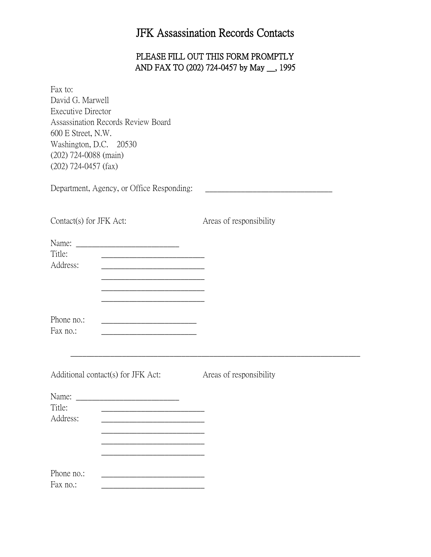## JFK Assassination Records Contacts

## PLEASE FILL OUT THIS FORM PROMPTLY AND FAX TO (202) 724-0457 by May \_\_, 1995

Fax to: David G. Marwell Executive Director Assassination Records Review Board 600 E Street, N.W. Washington, D.C. 20530 (202) 724-0088 (main) (202) 724-0457 (fax)

Department, Agency, or Office Responding:

| Contact(s) for JFK Act:<br>Title:<br><u> 1989 - Johann Barn, mars ann an t-Amhair an t-Amhair an t-Amhair an t-Amhair an t-Amhair an t-Amhair an t-Amh</u><br>Address:<br><u> 1980 - Johann Barbara, martin amerikan basar dan bagi dan bagi dalam basar dalam bagi dalam bagi dalam bagi da</u> |                                                                                                                                                                                                                                                                                                                              | Areas of responsibility |  |
|--------------------------------------------------------------------------------------------------------------------------------------------------------------------------------------------------------------------------------------------------------------------------------------------------|------------------------------------------------------------------------------------------------------------------------------------------------------------------------------------------------------------------------------------------------------------------------------------------------------------------------------|-------------------------|--|
|                                                                                                                                                                                                                                                                                                  |                                                                                                                                                                                                                                                                                                                              |                         |  |
|                                                                                                                                                                                                                                                                                                  | the control of the control of the control of the control of the control of<br><u> 1989 - Johann Barn, mars ann an t-Amhair an t-Amhair an t-Amhair an t-Amhair an t-Amhair an t-Amhair an t-Amh</u><br><u> 1989 - Johann Barn, mars ann an t-Amhair an t-Amhair an t-Amhair an t-Amhair an t-Amhair an t-Amhair an t-Amh</u> |                         |  |
| Phone no.:<br>Fax no.:                                                                                                                                                                                                                                                                           | the control of the control of the control of the control of the control of                                                                                                                                                                                                                                                   |                         |  |
| Additional contact(s) for JFK Act:                                                                                                                                                                                                                                                               |                                                                                                                                                                                                                                                                                                                              | Areas of responsibility |  |
| Title:                                                                                                                                                                                                                                                                                           |                                                                                                                                                                                                                                                                                                                              |                         |  |
| Address:                                                                                                                                                                                                                                                                                         | the control of the control of the control of the control of the control of                                                                                                                                                                                                                                                   |                         |  |
| Phone no.:<br>Fax no.:                                                                                                                                                                                                                                                                           |                                                                                                                                                                                                                                                                                                                              |                         |  |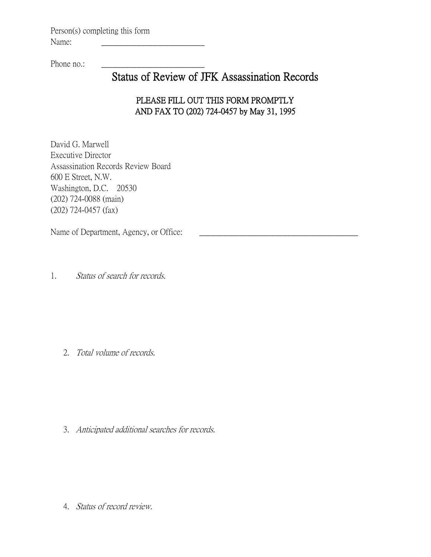Person(s) completing this form Name:

Phone no.:

## Status of Review of JFK Assassination Records

## PLEASE FILL OUT THIS FORM PROMPTLY AND FAX TO (202) 724-0457 by May 31, 1995

David G. Marwell Executive Director Assassination Records Review Board 600 E Street, N.W. Washington, D.C. 20530 (202) 724-0088 (main) (202) 724-0457 (fax)

Name of Department, Agency, or Office:

1. Status of search for records.

2. Total volume of records.

3. Anticipated additional searches for records.

4. Status of record review.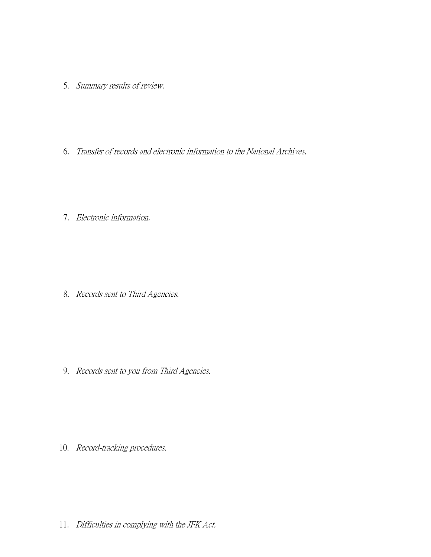- 5. Summary results of review.
- 6. Transfer of records and electronic information to the National Archives.
- 7. Electronic information.

8. Records sent to Third Agencies.

9. Records sent to you from Third Agencies.

10. Record-tracking procedures.